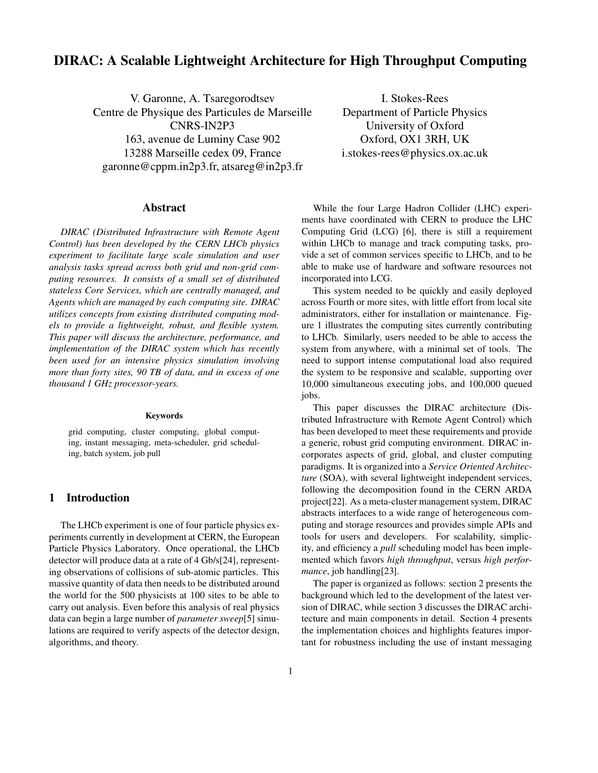# **DIRAC: A Scalable Lightweight Architecture for High Throughput Computing**

V. Garonne, A. Tsaregorodtsev Centre de Physique des Particules de Marseille CNRS-IN2P3 163, avenue de Luminy Case 902 13288 Marseille cedex 09, France garonne@cppm.in2p3.fr, atsareg@in2p3.fr

### **Abstract**

*DIRAC (Distributed Infrastructure with Remote Agent Control) has been developed by the CERN LHCb physics experiment to facilitate large scale simulation and user analysis tasks spread across both grid and non-grid computing resources. It consists of a small set of distributed stateless Core Services, which are centrally managed, and Agents which are managed by each computing site. DIRAC utilizes concepts from existing distributed computing models to provide a lightweight, robust, and flexible system. This paper will discuss the architecture, performance, and implementation of the DIRAC system which has recently been used for an intensive physics simulation involving more than forty sites, 90 TB of data, and in excess of one thousand 1 GHz processor-years.*

#### **Keywords**

grid computing, cluster computing, global computing, instant messaging, meta-scheduler, grid scheduling, batch system, job pull

### **1 Introduction**

The LHCb experiment is one of four particle physics experiments currently in development at CERN, the European Particle Physics Laboratory. Once operational, the LHCb detector will produce data at a rate of 4 Gb/s[24], representing observations of collisions of sub-atomic particles. This massive quantity of data then needs to be distributed around the world for the 500 physicists at 100 sites to be able to carry out analysis. Even before this analysis of real physics data can begin a large number of *parameter sweep*[5] simulations are required to verify aspects of the detector design, algorithms, and theory.

I. Stokes-Rees Department of Particle Physics University of Oxford Oxford, OX1 3RH, UK i.stokes-rees@physics.ox.ac.uk

While the four Large Hadron Collider (LHC) experiments have coordinated with CERN to produce the LHC Computing Grid (LCG) [6], there is still a requirement within LHCb to manage and track computing tasks, provide a set of common services specific to LHCb, and to be able to make use of hardware and software resources not incorporated into LCG.

This system needed to be quickly and easily deployed across Fourth or more sites, with little effort from local site administrators, either for installation or maintenance. Figure 1 illustrates the computing sites currently contributing to LHCb. Similarly, users needed to be able to access the system from anywhere, with a minimal set of tools. The need to support intense computational load also required the system to be responsive and scalable, supporting over 10,000 simultaneous executing jobs, and 100,000 queued jobs.

This paper discusses the DIRAC architecture (Distributed Infrastructure with Remote Agent Control) which has been developed to meet these requirements and provide a generic, robust grid computing environment. DIRAC incorporates aspects of grid, global, and cluster computing paradigms. It is organized into a *Service Oriented Architecture* (SOA), with several lightweight independent services, following the decomposition found in the CERN ARDA project[22]. As a meta-cluster management system, DIRAC abstracts interfaces to a wide range of heterogeneous computing and storage resources and provides simple APIs and tools for users and developers. For scalability, simplicity, and efficiency a *pull* scheduling model has been implemented which favors *high throughput*, versus *high performance*, job handling[23].

The paper is organized as follows: section 2 presents the background which led to the development of the latest version of DIRAC, while section 3 discusses the DIRAC architecture and main components in detail. Section 4 presents the implementation choices and highlights features important for robustness including the use of instant messaging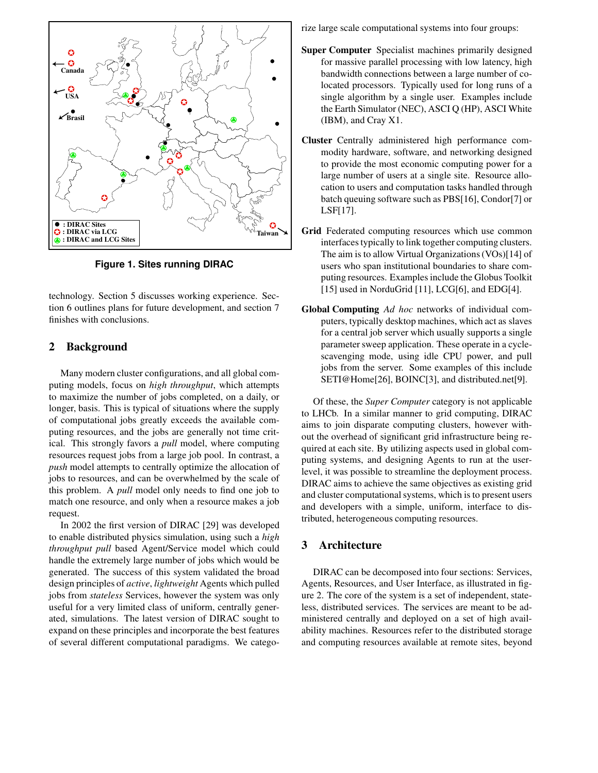

**Figure 1. Sites running DIRAC**

technology. Section 5 discusses working experience. Section 6 outlines plans for future development, and section 7 finishes with conclusions.

### **2 Background**

Many modern cluster configurations, and all global computing models, focus on *high throughput*, which attempts to maximize the number of jobs completed, on a daily, or longer, basis. This is typical of situations where the supply of computational jobs greatly exceeds the available computing resources, and the jobs are generally not time critical. This strongly favors a *pull* model, where computing resources request jobs from a large job pool. In contrast, a *push* model attempts to centrally optimize the allocation of jobs to resources, and can be overwhelmed by the scale of this problem. A *pull* model only needs to find one job to match one resource, and only when a resource makes a job request.

In 2002 the first version of DIRAC [29] was developed to enable distributed physics simulation, using such a *high throughput pull* based Agent/Service model which could handle the extremely large number of jobs which would be generated. The success of this system validated the broad design principles of *active*, *lightweight* Agents which pulled jobs from *stateless* Services, however the system was only useful for a very limited class of uniform, centrally generated, simulations. The latest version of DIRAC sought to expand on these principles and incorporate the best features of several different computational paradigms. We categorize large scale computational systems into four groups:

- **Super Computer** Specialist machines primarily designed for massive parallel processing with low latency, high bandwidth connections between a large number of colocated processors. Typically used for long runs of a single algorithm by a single user. Examples include the Earth Simulator (NEC), ASCI Q (HP), ASCI White (IBM), and Cray X1.
- **Cluster** Centrally administered high performance commodity hardware, software, and networking designed to provide the most economic computing power for a large number of users at a single site. Resource allocation to users and computation tasks handled through batch queuing software such as PBS[16], Condor[7] or LSF[17].
- **Grid** Federated computing resources which use common interfaces typically to link together computing clusters. The aim is to allow Virtual Organizations(VOs)[14] of users who span institutional boundaries to share computing resources. Examplesinclude the Globus Toolkit [15] used in NorduGrid [11], LCG[6], and EDG[4].
- **Global Computing** *Ad hoc* networks of individual computers, typically desktop machines, which act as slaves for a central job server which usually supports a single parameter sweep application. These operate in a cyclescavenging mode, using idle CPU power, and pull jobs from the server. Some examples of this include SETI@Home[26], BOINC[3], and distributed.net[9].

Of these, the *Super Computer* category is not applicable to LHCb. In a similar manner to grid computing, DIRAC aims to join disparate computing clusters, however without the overhead of significant grid infrastructure being required at each site. By utilizing aspects used in global computing systems, and designing Agents to run at the userlevel, it was possible to streamline the deployment process. DIRAC aims to achieve the same objectives as existing grid and cluster computational systems, which is to present users and developers with a simple, uniform, interface to distributed, heterogeneous computing resources.

### **3 Architecture**

DIRAC can be decomposed into four sections: Services, Agents, Resources, and User Interface, as illustrated in figure 2. The core of the system is a set of independent, stateless, distributed services. The services are meant to be administered centrally and deployed on a set of high availability machines. Resources refer to the distributed storage and computing resources available at remote sites, beyond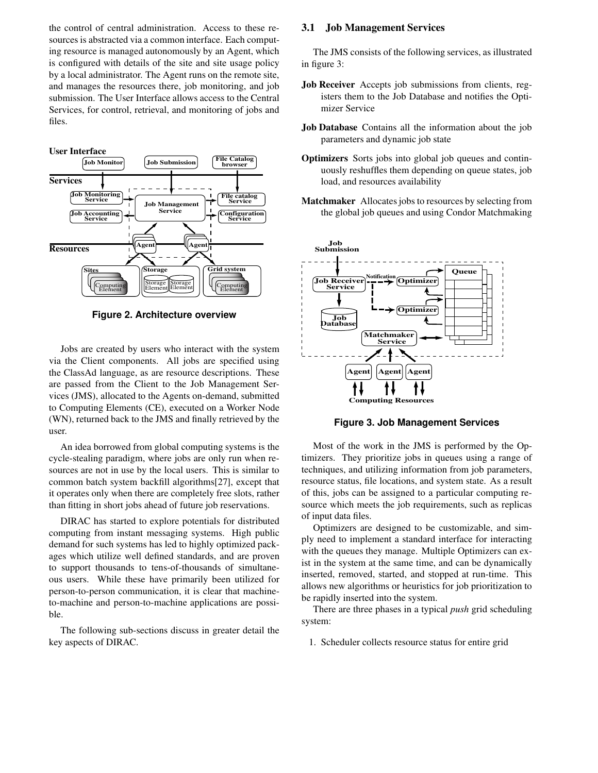the control of central administration. Access to these resources is abstracted via a common interface. Each computing resource is managed autonomously by an Agent, which is configured with details of the site and site usage policy by a local administrator. The Agent runs on the remote site, and manages the resources there, job monitoring, and job submission. The User Interface allows access to the Central Services, for control, retrieval, and monitoring of jobs and files.



**Figure 2. Architecture overview**

Jobs are created by users who interact with the system via the Client components. All jobs are specified using the ClassAd language, as are resource descriptions. These are passed from the Client to the Job Management Services (JMS), allocated to the Agents on-demand, submitted to Computing Elements (CE), executed on a Worker Node (WN), returned back to the JMS and finally retrieved by the user.

An idea borrowed from global computing systems is the cycle-stealing paradigm, where jobs are only run when resources are not in use by the local users. This is similar to common batch system backfill algorithms[27], except that it operates only when there are completely free slots, rather than fitting in short jobs ahead of future job reservations.

DIRAC has started to explore potentials for distributed computing from instant messaging systems. High public demand for such systems has led to highly optimized packages which utilize well defined standards, and are proven to support thousands to tens-of-thousands of simultaneous users. While these have primarily been utilized for person-to-person communication, it is clear that machineto-machine and person-to-machine applications are possible.

The following sub-sections discuss in greater detail the key aspects of DIRAC.

#### **3.1 Job Management Services**

The JMS consists of the following services, as illustrated in figure 3:

- **Job Receiver** Accepts job submissions from clients, registers them to the Job Database and notifies the Optimizer Service
- **Job Database** Contains all the information about the job parameters and dynamic job state
- **Optimizers** Sorts jobs into global job queues and continuously reshuffles them depending on queue states, job load, and resources availability
- **Matchmaker** Allocates jobs to resources by selecting from the global job queues and using Condor Matchmaking



**Figure 3. Job Management Services**

Most of the work in the JMS is performed by the Optimizers. They prioritize jobs in queues using a range of techniques, and utilizing information from job parameters, resource status, file locations, and system state. As a result of this, jobs can be assigned to a particular computing resource which meets the job requirements, such as replicas of input data files.

Optimizers are designed to be customizable, and simply need to implement a standard interface for interacting with the queues they manage. Multiple Optimizers can exist in the system at the same time, and can be dynamically inserted, removed, started, and stopped at run-time. This allows new algorithms or heuristics for job prioritization to be rapidly inserted into the system.

There are three phases in a typical *push* grid scheduling system:

1. Scheduler collects resource status for entire grid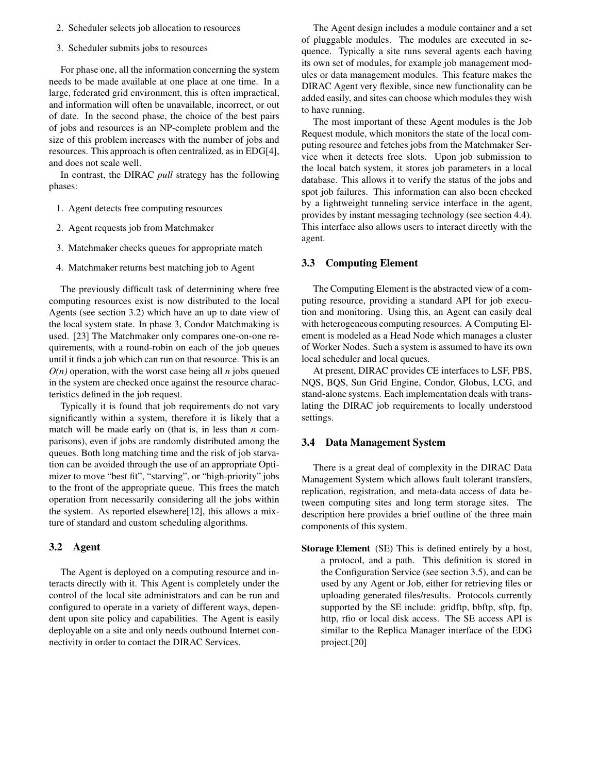- 2. Scheduler selects job allocation to resources
- 3. Scheduler submits jobs to resources

For phase one, all the information concerning the system needs to be made available at one place at one time. In a large, federated grid environment, this is often impractical, and information will often be unavailable, incorrect, or out of date. In the second phase, the choice of the best pairs of jobs and resources is an NP-complete problem and the size of this problem increases with the number of jobs and resources. This approach is often centralized, as in EDG[4], and does not scale well.

In contrast, the DIRAC *pull* strategy has the following phases:

- 1. Agent detects free computing resources
- 2. Agent requests job from Matchmaker
- 3. Matchmaker checks queues for appropriate match
- 4. Matchmaker returns best matching job to Agent

The previously difficult task of determining where free computing resources exist is now distributed to the local Agents (see section 3.2) which have an up to date view of the local system state. In phase 3, Condor Matchmaking is used. [23] The Matchmaker only compares one-on-one requirements, with a round-robin on each of the job queues until it finds a job which can run on that resource. This is an  $O(n)$  operation, with the worst case being all *n* jobs queued in the system are checked once against the resource characteristics defined in the job request.

Typically it is found that job requirements do not vary significantly within a system, therefore it is likely that a match will be made early on (that is, in less than *n* comparisons), even if jobs are randomly distributed among the queues. Both long matching time and the risk of job starvation can be avoided through the use of an appropriate Optimizer to move "best fit", "starving", or "high-priority" jobs to the front of the appropriate queue. This frees the match operation from necessarily considering all the jobs within the system. As reported elsewhere[12], this allows a mixture of standard and custom scheduling algorithms.

### **3.2 Agent**

The Agent is deployed on a computing resource and interacts directly with it. This Agent is completely under the control of the local site administrators and can be run and configured to operate in a variety of different ways, dependent upon site policy and capabilities. The Agent is easily deployable on a site and only needs outbound Internet connectivity in order to contact the DIRAC Services.

The Agent design includes a module container and a set of pluggable modules. The modules are executed in sequence. Typically a site runs several agents each having its own set of modules, for example job management modules or data management modules. This feature makes the DIRAC Agent very flexible, since new functionality can be added easily, and sites can choose which modules they wish to have running.

The most important of these Agent modules is the Job Request module, which monitors the state of the local computing resource and fetches jobs from the Matchmaker Service when it detects free slots. Upon job submission to the local batch system, it stores job parameters in a local database. This allows it to verify the status of the jobs and spot job failures. This information can also been checked by a lightweight tunneling service interface in the agent, provides by instant messaging technology (see section 4.4). This interface also allows users to interact directly with the agent.

#### **3.3 Computing Element**

The Computing Element is the abstracted view of a computing resource, providing a standard API for job execution and monitoring. Using this, an Agent can easily deal with heterogeneous computing resources. A Computing Element is modeled as a Head Node which manages a cluster of Worker Nodes. Such a system is assumed to have its own local scheduler and local queues.

At present, DIRAC provides CE interfaces to LSF, PBS, NQS, BQS, Sun Grid Engine, Condor, Globus, LCG, and stand-alone systems. Each implementation deals with translating the DIRAC job requirements to locally understood settings.

### **3.4 Data Management System**

There is a great deal of complexity in the DIRAC Data Management System which allows fault tolerant transfers, replication, registration, and meta-data access of data between computing sites and long term storage sites. The description here provides a brief outline of the three main components of this system.

**Storage Element** (SE) This is defined entirely by a host, a protocol, and a path. This definition is stored in the Configuration Service (see section 3.5), and can be used by any Agent or Job, either for retrieving files or uploading generated files/results. Protocols currently supported by the SE include: gridftp, bbftp, sftp, ftp, http, rfio or local disk access. The SE access API is similar to the Replica Manager interface of the EDG project.[20]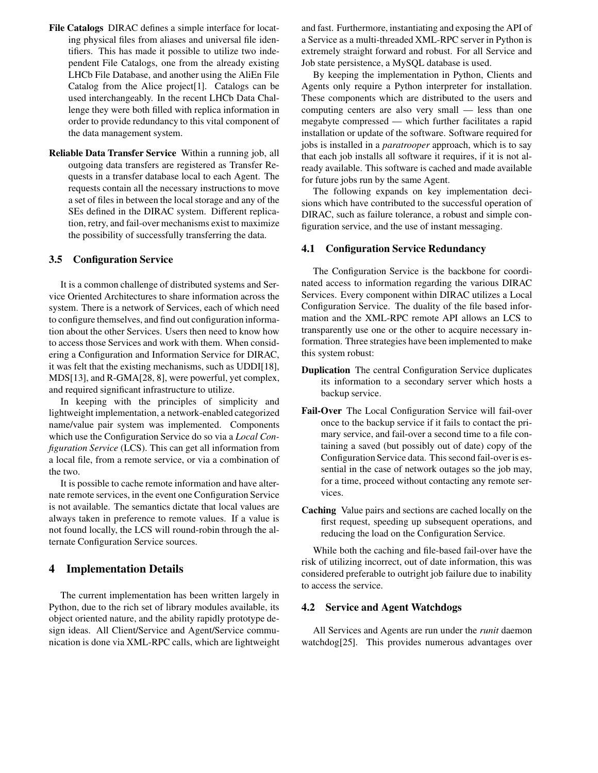- **File Catalogs** DIRAC defines a simple interface for locating physical files from aliases and universal file identifiers. This has made it possible to utilize two independent File Catalogs, one from the already existing LHCb File Database, and another using the AliEn File Catalog from the Alice project[1]. Catalogs can be used interchangeably. In the recent LHCb Data Challenge they were both filled with replica information in order to provide redundancy to this vital component of the data management system.
- **Reliable Data Transfer Service** Within a running job, all outgoing data transfers are registered as Transfer Requests in a transfer database local to each Agent. The requests contain all the necessary instructions to move a set of files in between the local storage and any of the SEs defined in the DIRAC system. Different replication, retry, and fail-over mechanisms exist to maximize the possibility of successfully transferring the data.

#### **3.5 Configuration Service**

It is a common challenge of distributed systems and Service Oriented Architectures to share information across the system. There is a network of Services, each of which need to configure themselves, and find out configuration information about the other Services. Users then need to know how to access those Services and work with them. When considering a Configuration and Information Service for DIRAC, it was felt that the existing mechanisms, such as UDDI[18], MDS[13], and R-GMA[28, 8], were powerful, yet complex, and required significant infrastructure to utilize.

In keeping with the principles of simplicity and lightweight implementation, a network-enabled categorized name/value pair system was implemented. Components which use the Configuration Service do so via a *Local Configuration Service* (LCS). This can get all information from a local file, from a remote service, or via a combination of the two.

It is possible to cache remote information and have alternate remote services, in the event one Configuration Service is not available. The semantics dictate that local values are always taken in preference to remote values. If a value is not found locally, the LCS will round-robin through the alternate Configuration Service sources.

### **4 Implementation Details**

The current implementation has been written largely in Python, due to the rich set of library modules available, its object oriented nature, and the ability rapidly prototype design ideas. All Client/Service and Agent/Service communication is done via XML-RPC calls, which are lightweight and fast. Furthermore, instantiating and exposing the API of a Service as a multi-threaded XML-RPC server in Python is extremely straight forward and robust. For all Service and Job state persistence, a MySQL database is used.

By keeping the implementation in Python, Clients and Agents only require a Python interpreter for installation. These components which are distributed to the users and computing centers are also very small — less than one megabyte compressed — which further facilitates a rapid installation or update of the software. Software required for jobs is installed in a *paratrooper* approach, which is to say that each job installs all software it requires, if it is not already available. This software is cached and made available for future jobs run by the same Agent.

The following expands on key implementation decisions which have contributed to the successful operation of DIRAC, such as failure tolerance, a robust and simple configuration service, and the use of instant messaging.

#### **4.1 Configuration Service Redundancy**

The Configuration Service is the backbone for coordinated access to information regarding the various DIRAC Services. Every component within DIRAC utilizes a Local Configuration Service. The duality of the file based information and the XML-RPC remote API allows an LCS to transparently use one or the other to acquire necessary information. Three strategies have been implemented to make this system robust:

- **Duplication** The central Configuration Service duplicates its information to a secondary server which hosts a backup service.
- **Fail-Over** The Local Configuration Service will fail-over once to the backup service if it fails to contact the primary service, and fail-over a second time to a file containing a saved (but possibly out of date) copy of the Configuration Service data. This second fail-over is essential in the case of network outages so the job may, for a time, proceed without contacting any remote services.
- **Caching** Value pairs and sections are cached locally on the first request, speeding up subsequent operations, and reducing the load on the Configuration Service.

While both the caching and file-based fail-over have the risk of utilizing incorrect, out of date information, this was considered preferable to outright job failure due to inability to access the service.

### **4.2 Service and Agent Watchdogs**

All Services and Agents are run under the *runit* daemon watchdog[25]. This provides numerous advantages over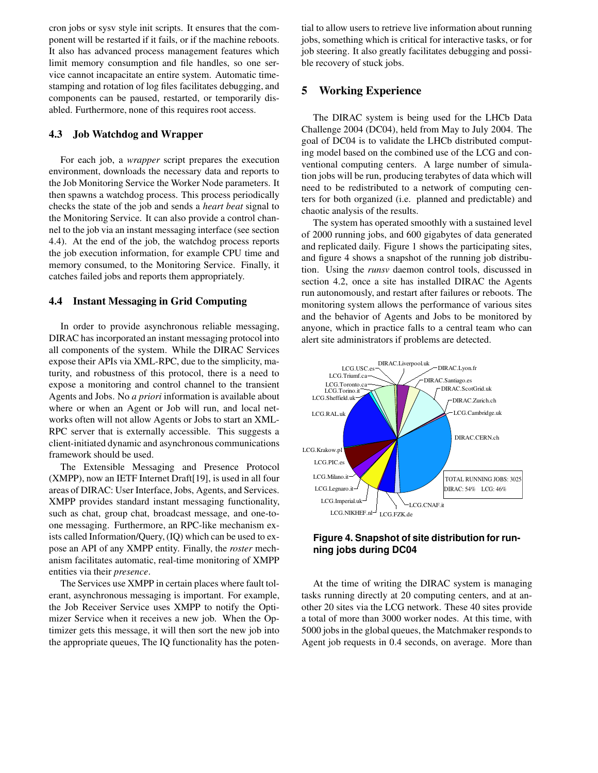cron jobs or sysv style init scripts. It ensures that the component will be restarted if it fails, or if the machine reboots. It also has advanced process management features which limit memory consumption and file handles, so one service cannot incapacitate an entire system. Automatic timestamping and rotation of log files facilitates debugging, and components can be paused, restarted, or temporarily disabled. Furthermore, none of this requires root access.

### **4.3 Job Watchdog and Wrapper**

For each job, a *wrapper* script prepares the execution environment, downloads the necessary data and reports to the Job Monitoring Service the Worker Node parameters. It then spawns a watchdog process. This process periodically checks the state of the job and sends a *heart beat* signal to the Monitoring Service. It can also provide a control channel to the job via an instant messaging interface (see section 4.4). At the end of the job, the watchdog process reports the job execution information, for example CPU time and memory consumed, to the Monitoring Service. Finally, it catches failed jobs and reports them appropriately.

#### **4.4 Instant Messaging in Grid Computing**

In order to provide asynchronous reliable messaging, DIRAC has incorporated an instant messaging protocol into all components of the system. While the DIRAC Services expose their APIs via XML-RPC, due to the simplicity, maturity, and robustness of this protocol, there is a need to expose a monitoring and control channel to the transient Agents and Jobs. No *a priori* information is available about where or when an Agent or Job will run, and local networks often will not allow Agents or Jobs to start an XML-RPC server that is externally accessible. This suggests a client-initiated dynamic and asynchronous communications framework should be used.

The Extensible Messaging and Presence Protocol (XMPP), now an IETF Internet Draft[19], is used in all four areas of DIRAC: User Interface,Jobs, Agents, and Services. XMPP provides standard instant messaging functionality, such as chat, group chat, broadcast message, and one-toone messaging. Furthermore, an RPC-like mechanism exists called Information/Query,(IQ) which can be used to expose an API of any XMPP entity. Finally, the *roster* mechanism facilitates automatic, real-time monitoring of XMPP entities via their *presence*.

The Services use XMPP in certain places where fault tolerant, asynchronous messaging is important. For example, the Job Receiver Service uses XMPP to notify the Optimizer Service when it receives a new job. When the Optimizer gets this message, it will then sort the new job into the appropriate queues, The IQ functionality has the potential to allow users to retrieve live information about running jobs, something which is critical for interactive tasks, or for job steering. It also greatly facilitates debugging and possible recovery of stuck jobs.

### **5 Working Experience**

The DIRAC system is being used for the LHCb Data Challenge 2004 (DC04), held from May to July 2004. The goal of DC04 is to validate the LHCb distributed computing model based on the combined use of the LCG and conventional computing centers. A large number of simulation jobs will be run, producing terabytes of data which will need to be redistributed to a network of computing centers for both organized (i.e. planned and predictable) and chaotic analysis of the results.

The system has operated smoothly with a sustained level of 2000 running jobs, and 600 gigabytes of data generated and replicated daily. Figure 1 shows the participating sites, and figure 4 shows a snapshot of the running job distribution. Using the *runsv* daemon control tools, discussed in section 4.2, once a site has installed DIRAC the Agents run autonomously, and restart after failures or reboots. The monitoring system allows the performance of various sites and the behavior of Agents and Jobs to be monitored by anyone, which in practice falls to a central team who can alert site administrators if problems are detected.



### **Figure 4. Snapshot of site distribution for running jobs during DC04**

At the time of writing the DIRAC system is managing tasks running directly at 20 computing centers, and at another 20 sites via the LCG network. These 40 sites provide a total of more than 3000 worker nodes. At this time, with 5000 jobs in the global queues, the Matchmaker responds to Agent job requests in 0.4 seconds, on average. More than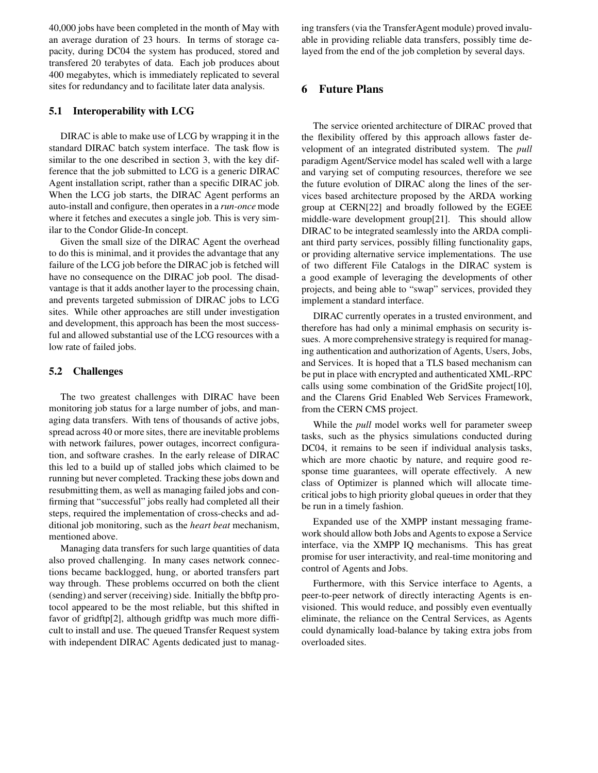40,000 jobs have been completed in the month of May with an average duration of 23 hours. In terms of storage capacity, during DC04 the system has produced, stored and transfered 20 terabytes of data. Each job produces about 400 megabytes, which is immediately replicated to several sites for redundancy and to facilitate later data analysis.

### **5.1 Interoperability with LCG**

DIRAC is able to make use of LCG by wrapping it in the standard DIRAC batch system interface. The task flow is similar to the one described in section 3, with the key difference that the job submitted to LCG is a generic DIRAC Agent installation script, rather than a specific DIRAC job. When the LCG job starts, the DIRAC Agent performs an auto-install and configure, then operatesin a *run-once* mode where it fetches and executes a single job. This is very similar to the Condor Glide-In concept.

Given the small size of the DIRAC Agent the overhead to do this is minimal, and it provides the advantage that any failure of the LCG job before the DIRAC job is fetched will have no consequence on the DIRAC job pool. The disadvantage is that it adds another layer to the processing chain, and prevents targeted submission of DIRAC jobs to LCG sites. While other approaches are still under investigation and development, this approach has been the most successful and allowed substantial use of the LCG resources with a low rate of failed jobs.

#### **5.2 Challenges**

The two greatest challenges with DIRAC have been monitoring job status for a large number of jobs, and managing data transfers. With tens of thousands of active jobs, spread across 40 or more sites, there are inevitable problems with network failures, power outages, incorrect configuration, and software crashes. In the early release of DIRAC this led to a build up of stalled jobs which claimed to be running but never completed. Tracking these jobs down and resubmitting them, as well as managing failed jobs and confirming that "successful" jobs really had completed all their steps, required the implementation of cross-checks and additional job monitoring, such as the *heart beat* mechanism, mentioned above.

Managing data transfers for such large quantities of data also proved challenging. In many cases network connections became backlogged, hung, or aborted transfers part way through. These problems occurred on both the client (sending) and server (receiving) side. Initially the bbftp protocol appeared to be the most reliable, but this shifted in favor of gridftp[2], although gridftp was much more difficult to install and use. The queued Transfer Request system with independent DIRAC Agents dedicated just to managing transfers (via the TransferAgent module) proved invaluable in providing reliable data transfers, possibly time delayed from the end of the job completion by several days.

### **6 Future Plans**

The service oriented architecture of DIRAC proved that the flexibility offered by this approach allows faster development of an integrated distributed system. The *pull* paradigm Agent/Service model has scaled well with a large and varying set of computing resources, therefore we see the future evolution of DIRAC along the lines of the services based architecture proposed by the ARDA working group at CERN[22] and broadly followed by the EGEE middle-ware development group[21]. This should allow DIRAC to be integrated seamlessly into the ARDA compliant third party services, possibly filling functionality gaps, or providing alternative service implementations. The use of two different File Catalogs in the DIRAC system is a good example of leveraging the developments of other projects, and being able to "swap" services, provided they implement a standard interface.

DIRAC currently operates in a trusted environment, and therefore has had only a minimal emphasis on security issues. A more comprehensive strategy is required for managing authentication and authorization of Agents, Users, Jobs, and Services. It is hoped that a TLS based mechanism can be put in place with encrypted and authenticated XML-RPC calls using some combination of the GridSite project[10], and the Clarens Grid Enabled Web Services Framework, from the CERN CMS project.

While the *pull* model works well for parameter sweep tasks, such as the physics simulations conducted during DC04, it remains to be seen if individual analysis tasks, which are more chaotic by nature, and require good response time guarantees, will operate effectively. A new class of Optimizer is planned which will allocate timecritical jobs to high priority global queues in order that they be run in a timely fashion.

Expanded use of the XMPP instant messaging framework should allow both Jobs and Agents to expose a Service interface, via the XMPP IQ mechanisms. This has great promise for user interactivity, and real-time monitoring and control of Agents and Jobs.

Furthermore, with this Service interface to Agents, a peer-to-peer network of directly interacting Agents is envisioned. This would reduce, and possibly even eventually eliminate, the reliance on the Central Services, as Agents could dynamically load-balance by taking extra jobs from overloaded sites.